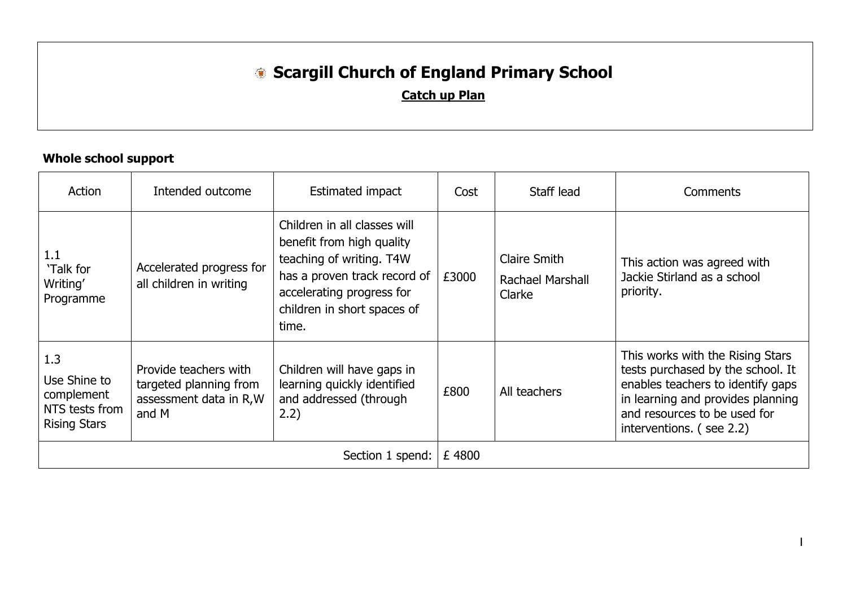## **Scargill Church of England Primary School**

**Catch up Plan**

## **Whole school support**

| Action                                                                     | Intended outcome                                                                    | Estimated impact                                                                                                                                                                           | Cost  | Staff lead                                        | <b>Comments</b>                                                                                                                                                                                             |
|----------------------------------------------------------------------------|-------------------------------------------------------------------------------------|--------------------------------------------------------------------------------------------------------------------------------------------------------------------------------------------|-------|---------------------------------------------------|-------------------------------------------------------------------------------------------------------------------------------------------------------------------------------------------------------------|
| 1.1<br>'Talk for<br>Writing'<br>Programme                                  | Accelerated progress for<br>all children in writing                                 | Children in all classes will<br>benefit from high quality<br>teaching of writing. T4W<br>has a proven track record of<br>accelerating progress for<br>children in short spaces of<br>time. | £3000 | <b>Claire Smith</b><br>Rachael Marshall<br>Clarke | This action was agreed with<br>Jackie Stirland as a school<br>priority.                                                                                                                                     |
| 1.3<br>Use Shine to<br>complement<br>NTS tests from<br><b>Rising Stars</b> | Provide teachers with<br>targeted planning from<br>assessment data in R, W<br>and M | Children will have gaps in<br>learning quickly identified<br>and addressed (through<br>2.2)                                                                                                | £800  | All teachers                                      | This works with the Rising Stars<br>tests purchased by the school. It<br>enables teachers to identify gaps<br>in learning and provides planning<br>and resources to be used for<br>interventions. (see 2.2) |
|                                                                            |                                                                                     | Section 1 spend:                                                                                                                                                                           | £4800 |                                                   |                                                                                                                                                                                                             |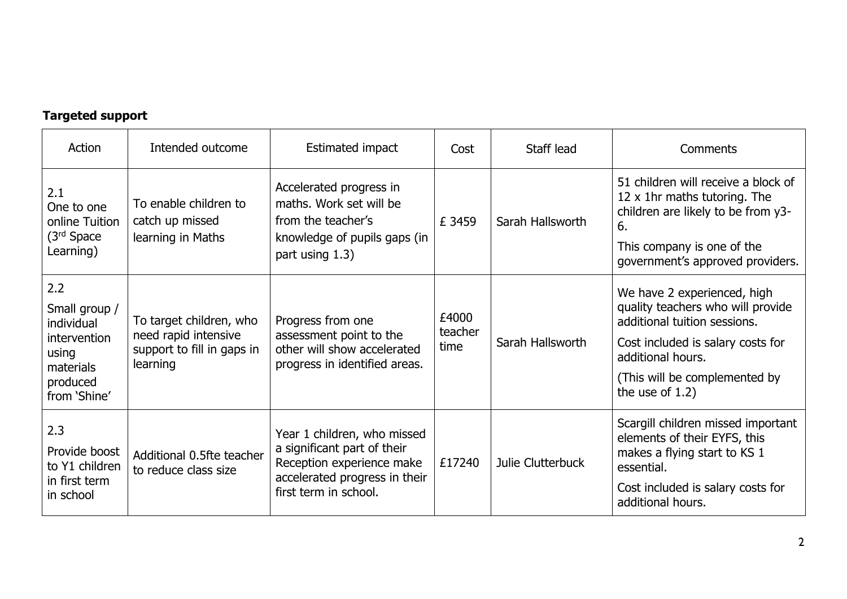## **Targeted support**

| Action                                                                                               | Intended outcome                                                                          | Estimated impact                                                                                                                                  | Cost                     | Staff lead        | Comments                                                                                                                                                                                                          |
|------------------------------------------------------------------------------------------------------|-------------------------------------------------------------------------------------------|---------------------------------------------------------------------------------------------------------------------------------------------------|--------------------------|-------------------|-------------------------------------------------------------------------------------------------------------------------------------------------------------------------------------------------------------------|
| 2.1<br>One to one<br>online Tuition<br>(3 <sup>rd</sup> Space<br>Learning)                           | To enable children to<br>catch up missed<br>learning in Maths                             | Accelerated progress in<br>maths. Work set will be<br>from the teacher's<br>knowledge of pupils gaps (in<br>part using 1.3)                       | £ 3459                   | Sarah Hallsworth  | 51 children will receive a block of<br>12 x 1hr maths tutoring. The<br>children are likely to be from y3-<br>6.<br>This company is one of the<br>government's approved providers.                                 |
| 2.2<br>Small group /<br>individual<br>intervention<br>using<br>materials<br>produced<br>from 'Shine' | To target children, who<br>need rapid intensive<br>support to fill in gaps in<br>learning | Progress from one<br>assessment point to the<br>other will show accelerated<br>progress in identified areas.                                      | £4000<br>teacher<br>time | Sarah Hallsworth  | We have 2 experienced, high<br>quality teachers who will provide<br>additional tuition sessions.<br>Cost included is salary costs for<br>additional hours.<br>(This will be complemented by<br>the use of $1.2$ ) |
| 2.3<br>Provide boost<br>to Y1 children<br>in first term<br>in school                                 | Additional 0.5fte teacher<br>to reduce class size                                         | Year 1 children, who missed<br>a significant part of their<br>Reception experience make<br>accelerated progress in their<br>first term in school. | £17240                   | Julie Clutterbuck | Scargill children missed important<br>elements of their EYFS, this<br>makes a flying start to KS 1<br>essential.<br>Cost included is salary costs for<br>additional hours.                                        |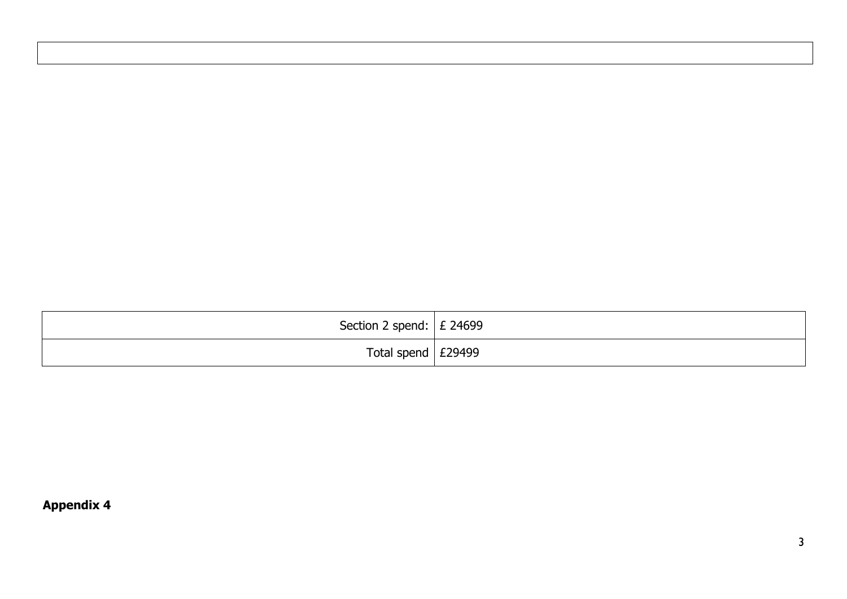| Section 2 spend: $\vert$ £ 24699 |  |
|----------------------------------|--|
| Total spend $\vert$ £29499       |  |

**Appendix 4**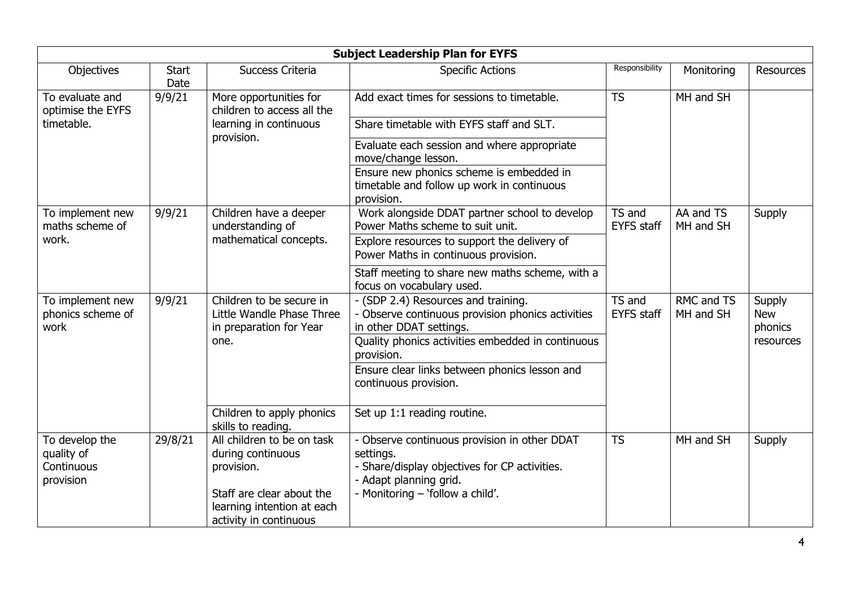|                                                         |                      |                                                                                                                                                    | <b>Subject Leadership Plan for EYFS</b>                                                                                                                                  |                             |                                |                                 |
|---------------------------------------------------------|----------------------|----------------------------------------------------------------------------------------------------------------------------------------------------|--------------------------------------------------------------------------------------------------------------------------------------------------------------------------|-----------------------------|--------------------------------|---------------------------------|
| <b>Objectives</b>                                       | <b>Start</b><br>Date | Success Criteria                                                                                                                                   | <b>Specific Actions</b>                                                                                                                                                  | Responsibility              | Monitoring                     | <b>Resources</b>                |
| To evaluate and<br>optimise the EYFS                    | 9/9/21               | More opportunities for<br>children to access all the                                                                                               | Add exact times for sessions to timetable.                                                                                                                               | <b>TS</b>                   | MH and SH                      |                                 |
| timetable.                                              |                      | learning in continuous<br>provision.                                                                                                               | Share timetable with EYFS staff and SLT.                                                                                                                                 |                             |                                |                                 |
|                                                         |                      |                                                                                                                                                    | Evaluate each session and where appropriate<br>move/change lesson.                                                                                                       |                             |                                |                                 |
|                                                         |                      |                                                                                                                                                    | Ensure new phonics scheme is embedded in<br>timetable and follow up work in continuous<br>provision.                                                                     |                             |                                |                                 |
| To implement new<br>maths scheme of                     | 9/9/21               | Children have a deeper<br>understanding of                                                                                                         | Work alongside DDAT partner school to develop<br>Power Maths scheme to suit unit.                                                                                        | TS and<br><b>EYFS staff</b> | AA and TS<br>MH and SH         | <b>Supply</b>                   |
| work.                                                   |                      | mathematical concepts.                                                                                                                             | Explore resources to support the delivery of<br>Power Maths in continuous provision.                                                                                     |                             |                                |                                 |
|                                                         |                      |                                                                                                                                                    | Staff meeting to share new maths scheme, with a<br>focus on vocabulary used.                                                                                             |                             |                                |                                 |
| To implement new<br>phonics scheme of<br>work           | 9/9/21               | Children to be secure in<br>Little Wandle Phase Three<br>in preparation for Year                                                                   | - (SDP 2.4) Resources and training.<br>- Observe continuous provision phonics activities<br>in other DDAT settings.                                                      | TS and<br><b>EYFS staff</b> | <b>RMC and TS</b><br>MH and SH | Supply<br><b>New</b><br>phonics |
|                                                         |                      | one.                                                                                                                                               | Quality phonics activities embedded in continuous<br>provision.                                                                                                          |                             | resources                      |                                 |
|                                                         |                      |                                                                                                                                                    | Ensure clear links between phonics lesson and<br>continuous provision.                                                                                                   |                             |                                |                                 |
|                                                         |                      | Children to apply phonics<br>skills to reading.                                                                                                    | Set up 1:1 reading routine.                                                                                                                                              |                             |                                |                                 |
| To develop the<br>quality of<br>Continuous<br>provision | 29/8/21              | All children to be on task<br>during continuous<br>provision.<br>Staff are clear about the<br>learning intention at each<br>activity in continuous | - Observe continuous provision in other DDAT<br>settings.<br>- Share/display objectives for CP activities.<br>- Adapt planning grid.<br>- Monitoring - 'follow a child'. | <b>TS</b>                   | MH and SH                      | Supply                          |